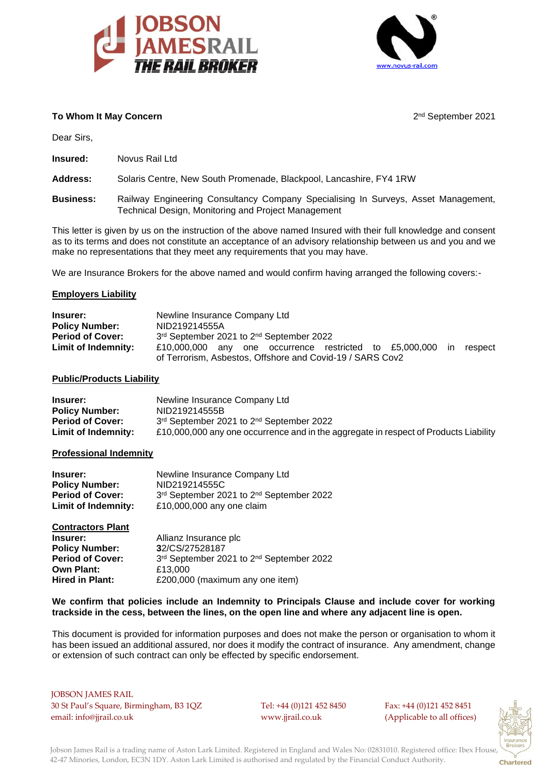



2<sup>nd</sup> September 2021

# **To Whom It May Concern**

Dear Sirs,

**Insured:** Novus Rail Ltd

**Address:** Solaris Centre, New South Promenade, Blackpool, Lancashire, FY4 1RW

**Business:** Railway Engineering Consultancy Company Specialising In Surveys, Asset Management, Technical Design, Monitoring and Project Management

This letter is given by us on the instruction of the above named Insured with their full knowledge and consent as to its terms and does not constitute an acceptance of an advisory relationship between us and you and we make no representations that they meet any requirements that you may have.

We are Insurance Brokers for the above named and would confirm having arranged the following covers:-

## **Employers Liability**

| <b>Insurer:</b>         | Newline Insurance Company Ltd                                             |  |  |
|-------------------------|---------------------------------------------------------------------------|--|--|
| <b>Policy Number:</b>   | NID219214555A                                                             |  |  |
| <b>Period of Cover:</b> | 3rd September 2021 to 2nd September 2022                                  |  |  |
| Limit of Indemnity:     | £10,000,000 any one occurrence restricted to £5,000,000<br>respect<br>in. |  |  |
|                         | of Terrorism, Asbestos, Offshore and Covid-19 / SARS Cov2                 |  |  |

#### **Public/Products Liability**

| Insurer:                | Newline Insurance Company Ltd                                                        |
|-------------------------|--------------------------------------------------------------------------------------|
| <b>Policy Number:</b>   | NID219214555B                                                                        |
| <b>Period of Cover:</b> | 3rd September 2021 to 2nd September 2022                                             |
| Limit of Indemnity:     | £10,000,000 any one occurrence and in the aggregate in respect of Products Liability |

#### **Professional Indemnity**

| <b>Insurer:</b>         | Newline Insurance Company Ltd            |
|-------------------------|------------------------------------------|
| <b>Policy Number:</b>   | NID219214555C                            |
| <b>Period of Cover:</b> | 3rd September 2021 to 2nd September 2022 |
| Limit of Indemnity:     | £10,000,000 any one claim                |

| Allianz Insurance plc                    |
|------------------------------------------|
| 32/CS/27528187                           |
| 3rd September 2021 to 2nd September 2022 |
| £13,000                                  |
| £200,000 (maximum any one item)          |
|                                          |

## **We confirm that policies include an Indemnity to Principals Clause and include cover for working trackside in the cess, between the lines, on the open line and where any adjacent line is open.**

This document is provided for information purposes and does not make the person or organisation to whom it has been issued an additional assured, nor does it modify the contract of insurance. Any amendment, change or extension of such contract can only be effected by specific endorsement.

 JOBSON JAMES RAIL 30 St Paul's Square, Birmingham, B3 1QZ Tel: +44 (0)121 452 8450 Fax: +44 (0)121 452 8451 email: info@jjrail.co.uk www.jjrail.co.uk (Applicable to all offices)



 Jobson James Rail is a trading name of Aston Lark Limited. Registered in England and Wales No: 02831010. Registered office: Ibex House, 42-47 Minories, London, EC3N 1DY. Aston Lark Limited is authorised and regulated by the Financial Conduct Authority.